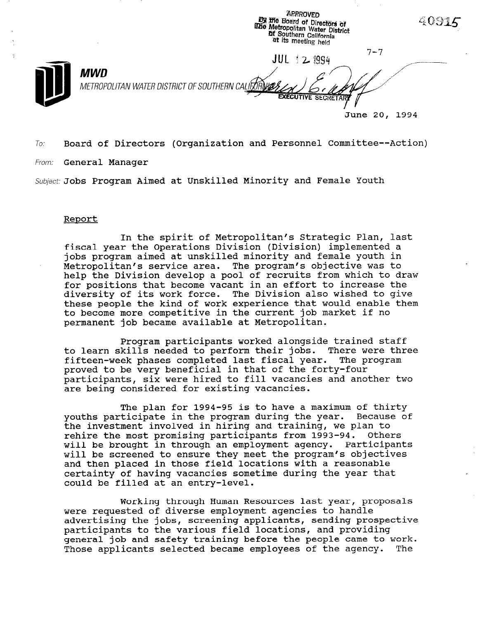**APPROVED By the Board of Directors of** The Metropolitan Water District<br>Mr. Southern California<br>at Southern California<br>at its median at its meeting held  $7 - 7$ JUL 12 1994  $MWD$  , and  $\alpha$  and  $\alpha$  and  $\alpha$  and  $\alpha$  and  $\alpha$  and  $\alpha$  and  $\alpha$  and  $\alpha$  and  $\alpha$  and  $\alpha$  and  $\alpha$  and  $\alpha$  and  $\alpha$  and  $\alpha$  and  $\alpha$  and  $\alpha$  and  $\alpha$  and  $\alpha$  and  $\alpha$  and  $\alpha$  and  $\alpha$  and  $\alpha$  and  $\alpha$  and  $\alpha$ METROPOLITAN WATER DISTRICT OF SOUTHERN CALIFORING **EXECUTIVE SECRETAR** June 20, 1994

 $\sigma$  Board of Directors (Organization and Personnel Committee--Action)

From: **General Manager** 

 $\mathcal{I}$ 

Subject: Jobs Program Aimed at Unskilled Minority and Female Youth

## Report

In the spirit of Metropolitan's Strategic Plan, last fiscal year the Operations Division (Division) implemented a jobs program aimed at unskilled minority and female youth in Metropolitan's service area. The program's objective was to help the Division develop a pool of recruits from which to draw for positions that become vacant in an effort to increase the diversity of its work force. The Division also wished to give these people the kind of work experience that would enable them to become more competitive in the current job market if no permanent job became available at Metropolitan.

Program participants worked alongside trained staff to learn skills needed to perform their jobs. There were three fifteen-week phases completed last fiscal year. The program proved to be very beneficial in that of the forty-four participants, six were hired to fill vacancies and another two are being considered for existing vacancies.

The plan for 1994-95 is to have a maximum of thirty youths participate in the program during the year. Because of the investment involved in hiring and training, we plan to rehire the most promising participants from 1993-94. Others will be brought in through an employment agency. Participants will be screened to ensure they meet the program's objectives and then placed in those field locations with a reasonable certainty of having vacancies sometime during the year that could be filled at an entry-level.

Working through Human Resources last year, proposals were requested of diverse employment agencies to handle advertising the jobs, screening applicants, sending prospective participants to the various field locations, and providing partrorpants to the various from rocations, and providing. Those applicants selected became employees of the agency. The